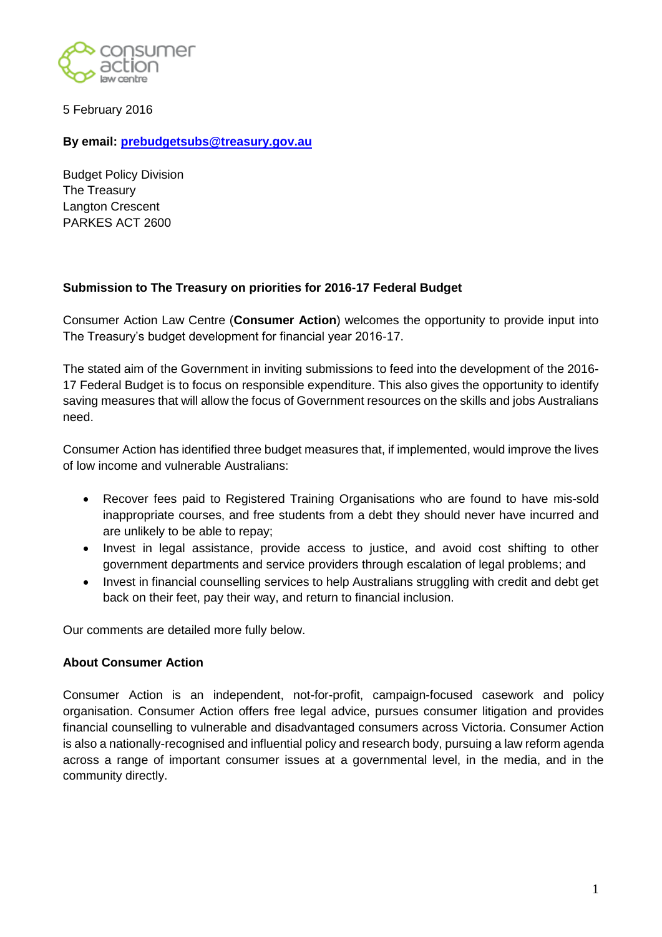

5 February 2016

### **By email: [prebudgetsubs@treasury.gov.au](mailto:prebudgetsubs@treasury.gov.au)**

Budget Policy Division The Treasury Langton Crescent PARKES ACT 2600

### **Submission to The Treasury on priorities for 2016-17 Federal Budget**

Consumer Action Law Centre (**Consumer Action**) welcomes the opportunity to provide input into The Treasury's budget development for financial year 2016-17.

The stated aim of the Government in inviting submissions to feed into the development of the 2016- 17 Federal Budget is to focus on responsible expenditure. This also gives the opportunity to identify saving measures that will allow the focus of Government resources on the skills and jobs Australians need.

Consumer Action has identified three budget measures that, if implemented, would improve the lives of low income and vulnerable Australians:

- Recover fees paid to Registered Training Organisations who are found to have mis-sold inappropriate courses, and free students from a debt they should never have incurred and are unlikely to be able to repay;
- Invest in legal assistance, provide access to justice, and avoid cost shifting to other government departments and service providers through escalation of legal problems; and
- Invest in financial counselling services to help Australians struggling with credit and debt get back on their feet, pay their way, and return to financial inclusion.

Our comments are detailed more fully below.

### **About Consumer Action**

Consumer Action is an independent, not-for-profit, campaign-focused casework and policy organisation. Consumer Action offers free legal advice, pursues consumer litigation and provides financial counselling to vulnerable and disadvantaged consumers across Victoria. Consumer Action is also a nationally-recognised and influential policy and research body, pursuing a law reform agenda across a range of important consumer issues at a governmental level, in the media, and in the community directly.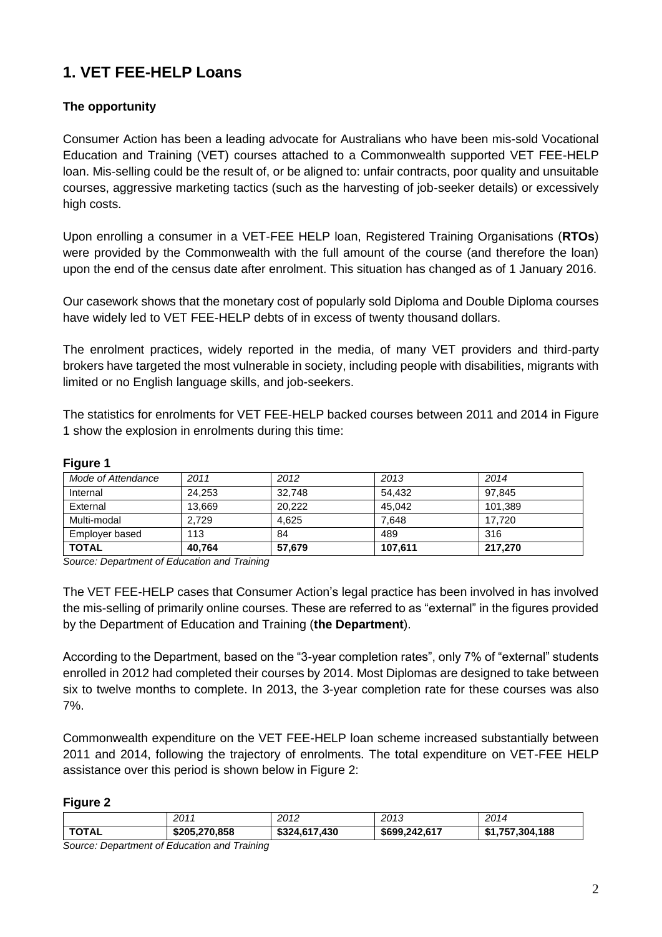# **1. VET FEE-HELP Loans**

## **The opportunity**

Consumer Action has been a leading advocate for Australians who have been mis-sold Vocational Education and Training (VET) courses attached to a Commonwealth supported VET FEE-HELP loan. Mis-selling could be the result of, or be aligned to: unfair contracts, poor quality and unsuitable courses, aggressive marketing tactics (such as the harvesting of job-seeker details) or excessively high costs.

Upon enrolling a consumer in a VET-FEE HELP loan, Registered Training Organisations (**RTOs**) were provided by the Commonwealth with the full amount of the course (and therefore the loan) upon the end of the census date after enrolment. This situation has changed as of 1 January 2016.

Our casework shows that the monetary cost of popularly sold Diploma and Double Diploma courses have widely led to VET FEE-HELP debts of in excess of twenty thousand dollars.

The enrolment practices, widely reported in the media, of many VET providers and third-party brokers have targeted the most vulnerable in society, including people with disabilities, migrants with limited or no English language skills, and job-seekers.

The statistics for enrolments for VET FEE-HELP backed courses between 2011 and 2014 in Figure 1 show the explosion in enrolments during this time:

### **Figure 1**

| Mode of Attendance | 2011   | 2012   | 2013    | 2014    |
|--------------------|--------|--------|---------|---------|
| Internal           | 24.253 | 32.748 | 54.432  | 97.845  |
| External           | 13.669 | 20.222 | 45.042  | 101.389 |
| Multi-modal        | 2.729  | 4.625  | 7.648   | 17.720  |
| Employer based     | 113    | 84     | 489     | 316     |
| <b>TOTAL</b>       | 40.764 | 57,679 | 107,611 | 217,270 |

*Source: Department of Education and Training*

The VET FEE-HELP cases that Consumer Action's legal practice has been involved in has involved the mis-selling of primarily online courses. These are referred to as "external" in the figures provided by the Department of Education and Training (**the Department**).

According to the Department, based on the "3-year completion rates", only 7% of "external" students enrolled in 2012 had completed their courses by 2014. Most Diplomas are designed to take between six to twelve months to complete. In 2013, the 3-year completion rate for these courses was also 7%.

Commonwealth expenditure on the VET FEE-HELP loan scheme increased substantially between 2011 and 2014, following the trajectory of enrolments. The total expenditure on VET-FEE HELP assistance over this period is shown below in Figure 2:

### **Figure 2**

| 2011<br>2013<br>2012<br>2014<br><b>TOTAL</b><br>\$205,270,858<br>\$699,242,617<br>\$1,757,304,188<br>\$324,617,430 | $\sim$ | _____<br>____ |  |  |
|--------------------------------------------------------------------------------------------------------------------|--------|---------------|--|--|
|                                                                                                                    |        |               |  |  |
|                                                                                                                    |        |               |  |  |

*Source: Department of Education and Training*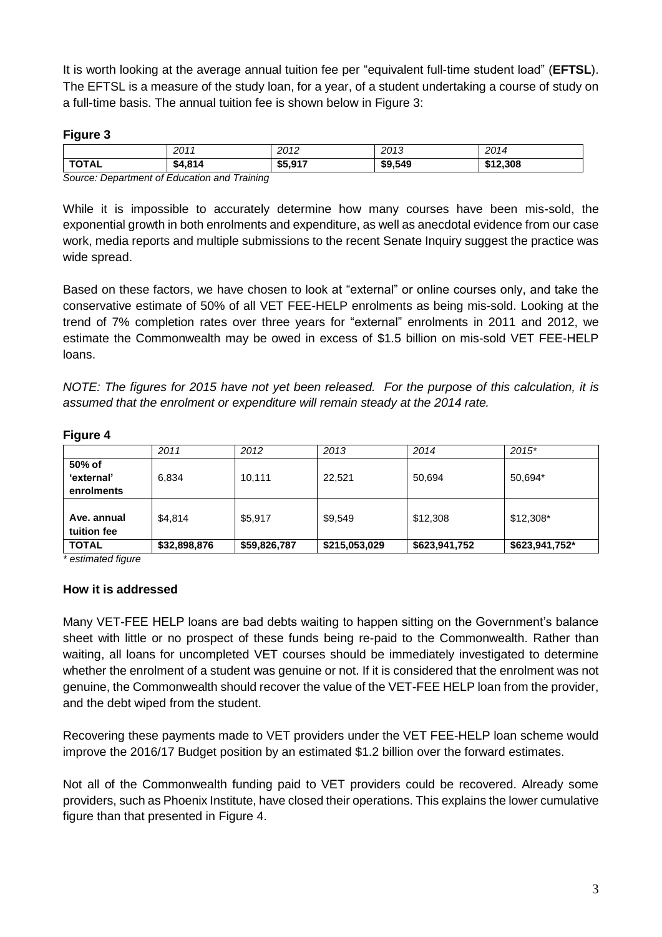It is worth looking at the average annual tuition fee per "equivalent full-time student load" (**EFTSL**). The EFTSL is a measure of the study loan, for a year, of a student undertaking a course of study on a full-time basis. The annual tuition fee is shown below in Figure 3:

### **Figure 3**

wide spread.

|                                                                | 2011         | 2012    | 2013    | 2014     |  |
|----------------------------------------------------------------|--------------|---------|---------|----------|--|
| <b>TOTAL</b>                                                   | 1.814<br>\$4 | \$5.917 | \$9,549 | \$12,308 |  |
| -<br>Source:<br>Training<br>: Department of Education ،<br>and |              |         |         |          |  |

While it is impossible to accurately determine how many courses have been mis-sold, the exponential growth in both enrolments and expenditure, as well as anecdotal evidence from our case work, media reports and multiple submissions to the recent Senate Inquiry suggest the practice was

Based on these factors, we have chosen to look at "external" or online courses only, and take the conservative estimate of 50% of all VET FEE-HELP enrolments as being mis-sold. Looking at the trend of 7% completion rates over three years for "external" enrolments in 2011 and 2012, we estimate the Commonwealth may be owed in excess of \$1.5 billion on mis-sold VET FEE-HELP loans.

*NOTE: The figures for 2015 have not yet been released. For the purpose of this calculation, it is assumed that the enrolment or expenditure will remain steady at the 2014 rate.*

|                                    | 2011         | 2012         | 2013          | 2014          | $2015*$        |
|------------------------------------|--------------|--------------|---------------|---------------|----------------|
| 50% of<br>'external'<br>enrolments | 6,834        | 10,111       | 22,521        | 50,694        | 50,694*        |
| Ave. annual<br>tuition fee         | \$4.814      | \$5,917      | \$9,549       | \$12,308      | $$12,308*$     |
| <b>TOTAL</b>                       | \$32,898,876 | \$59,826,787 | \$215,053,029 | \$623,941,752 | \$623,941,752* |

#### **Figure 4**

*\* estimated figure*

### **How it is addressed**

Many VET-FEE HELP loans are bad debts waiting to happen sitting on the Government's balance sheet with little or no prospect of these funds being re-paid to the Commonwealth. Rather than waiting, all loans for uncompleted VET courses should be immediately investigated to determine whether the enrolment of a student was genuine or not. If it is considered that the enrolment was not genuine, the Commonwealth should recover the value of the VET-FEE HELP loan from the provider, and the debt wiped from the student.

Recovering these payments made to VET providers under the VET FEE-HELP loan scheme would improve the 2016/17 Budget position by an estimated \$1.2 billion over the forward estimates.

Not all of the Commonwealth funding paid to VET providers could be recovered. Already some providers, such as Phoenix Institute, have closed their operations. This explains the lower cumulative figure than that presented in Figure 4.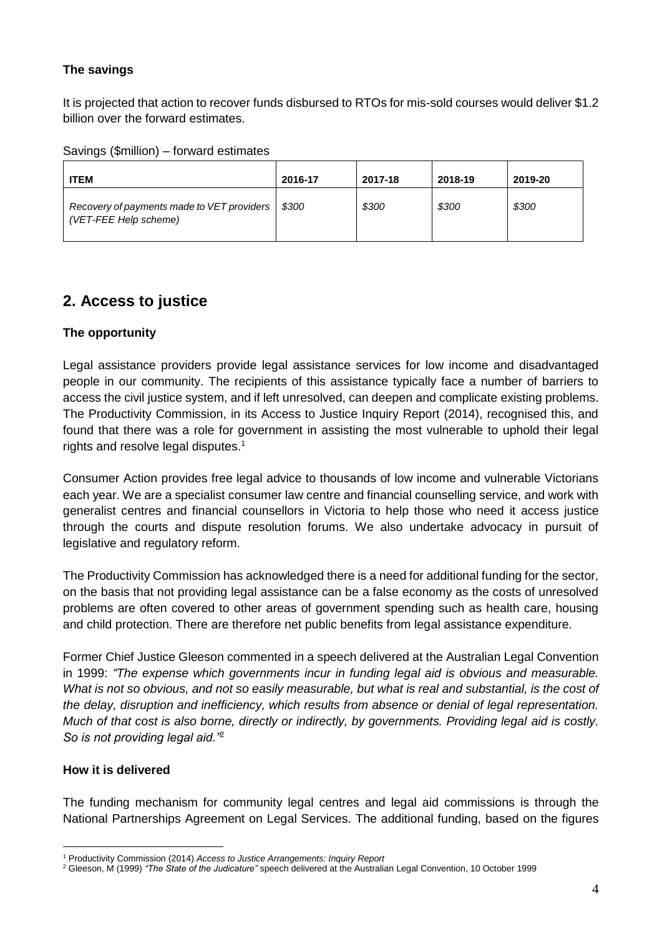## **The savings**

It is projected that action to recover funds disbursed to RTOs for mis-sold courses would deliver \$1.2 billion over the forward estimates.

Savings (\$million) – forward estimates

| <b>ITEM</b>                                                         | 2016-17 | 2017-18 | 2018-19 | 2019-20 |
|---------------------------------------------------------------------|---------|---------|---------|---------|
| Recovery of payments made to VET providers<br>(VET-FEE Help scheme) | \$300   | \$300   | \$300   | \$300   |

## **2. Access to justice**

### **The opportunity**

Legal assistance providers provide legal assistance services for low income and disadvantaged people in our community. The recipients of this assistance typically face a number of barriers to access the civil justice system, and if left unresolved, can deepen and complicate existing problems. The Productivity Commission, in its Access to Justice Inquiry Report (2014), recognised this, and found that there was a role for government in assisting the most vulnerable to uphold their legal rights and resolve legal disputes.<sup>1</sup>

Consumer Action provides free legal advice to thousands of low income and vulnerable Victorians each year. We are a specialist consumer law centre and financial counselling service, and work with generalist centres and financial counsellors in Victoria to help those who need it access justice through the courts and dispute resolution forums. We also undertake advocacy in pursuit of legislative and regulatory reform.

The Productivity Commission has acknowledged there is a need for additional funding for the sector, on the basis that not providing legal assistance can be a false economy as the costs of unresolved problems are often covered to other areas of government spending such as health care, housing and child protection. There are therefore net public benefits from legal assistance expenditure.

Former Chief Justice Gleeson commented in a speech delivered at the Australian Legal Convention in 1999: *"The expense which governments incur in funding legal aid is obvious and measurable. What is not so obvious, and not so easily measurable, but what is real and substantial, is the cost of the delay, disruption and inefficiency, which results from absence or denial of legal representation. Much of that cost is also borne, directly or indirectly, by governments. Providing legal aid is costly. So is not providing legal aid."*<sup>2</sup>

### **How it is delivered**

The funding mechanism for community legal centres and legal aid commissions is through the National Partnerships Agreement on Legal Services. The additional funding, based on the figures

<sup>&</sup>lt;u>.</u> <sup>1</sup> Productivity Commission (2014) *Access to Justice Arrangements: Inquiry Report*

<sup>2</sup> Gleeson, M (1999) *"The State of the Judicature"* speech delivered at the Australian Legal Convention, 10 October 1999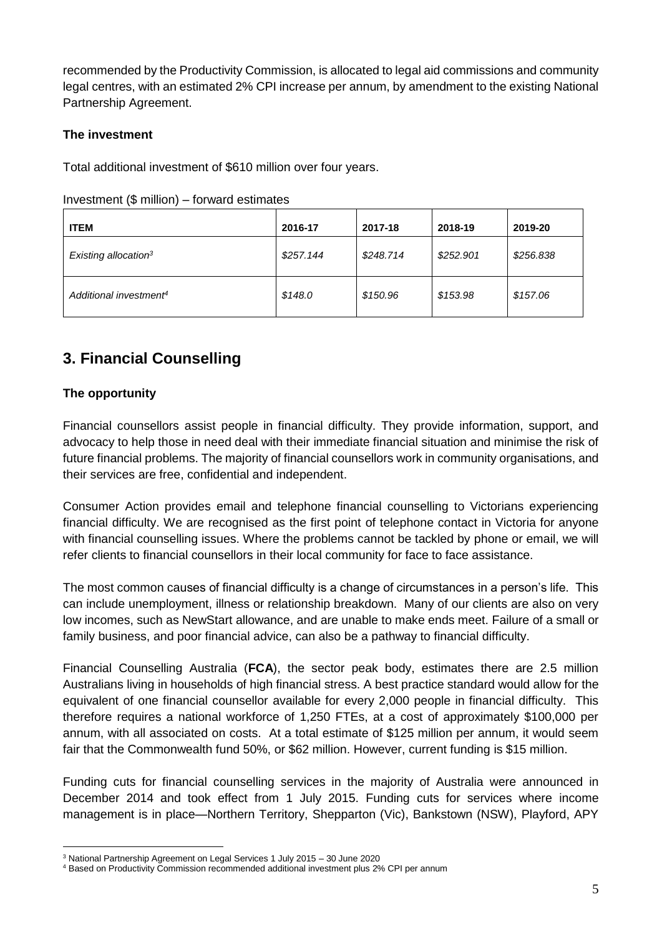recommended by the Productivity Commission, is allocated to legal aid commissions and community legal centres, with an estimated 2% CPI increase per annum, by amendment to the existing National Partnership Agreement.

### **The investment**

Total additional investment of \$610 million over four years.

### Investment (\$ million) – forward estimates

| <b>ITEM</b>                        | 2016-17   | 2017-18   | 2018-19   | 2019-20   |
|------------------------------------|-----------|-----------|-----------|-----------|
| Existing allocation <sup>3</sup>   | \$257.144 | \$248.714 | \$252.901 | \$256.838 |
| Additional investment <sup>4</sup> | \$148.0   | \$150.96  | \$153.98  | \$157.06  |

# **3. Financial Counselling**

## **The opportunity**

Financial counsellors assist people in financial difficulty. They provide information, support, and advocacy to help those in need deal with their immediate financial situation and minimise the risk of future financial problems. The majority of financial counsellors work in community organisations, and their services are free, confidential and independent.

Consumer Action provides email and telephone financial counselling to Victorians experiencing financial difficulty. We are recognised as the first point of telephone contact in Victoria for anyone with financial counselling issues. Where the problems cannot be tackled by phone or email, we will refer clients to financial counsellors in their local community for face to face assistance.

The most common causes of financial difficulty is a change of circumstances in a person's life. This can include unemployment, illness or relationship breakdown. Many of our clients are also on very low incomes, such as NewStart allowance, and are unable to make ends meet. Failure of a small or family business, and poor financial advice, can also be a pathway to financial difficulty.

Financial Counselling Australia (**FCA**), the sector peak body, estimates there are 2.5 million Australians living in households of high financial stress. A best practice standard would allow for the equivalent of one financial counsellor available for every 2,000 people in financial difficulty. This therefore requires a national workforce of 1,250 FTEs, at a cost of approximately \$100,000 per annum, with all associated on costs. At a total estimate of \$125 million per annum, it would seem fair that the Commonwealth fund 50%, or \$62 million. However, current funding is \$15 million.

Funding cuts for financial counselling services in the majority of Australia were announced in December 2014 and took effect from 1 July 2015. Funding cuts for services where income management is in place—Northern Territory, Shepparton (Vic), Bankstown (NSW), Playford, APY

<sup>&</sup>lt;u>.</u> <sup>3</sup> National Partnership Agreement on Legal Services 1 July 2015 – 30 June 2020

<sup>4</sup> Based on Productivity Commission recommended additional investment plus 2% CPI per annum